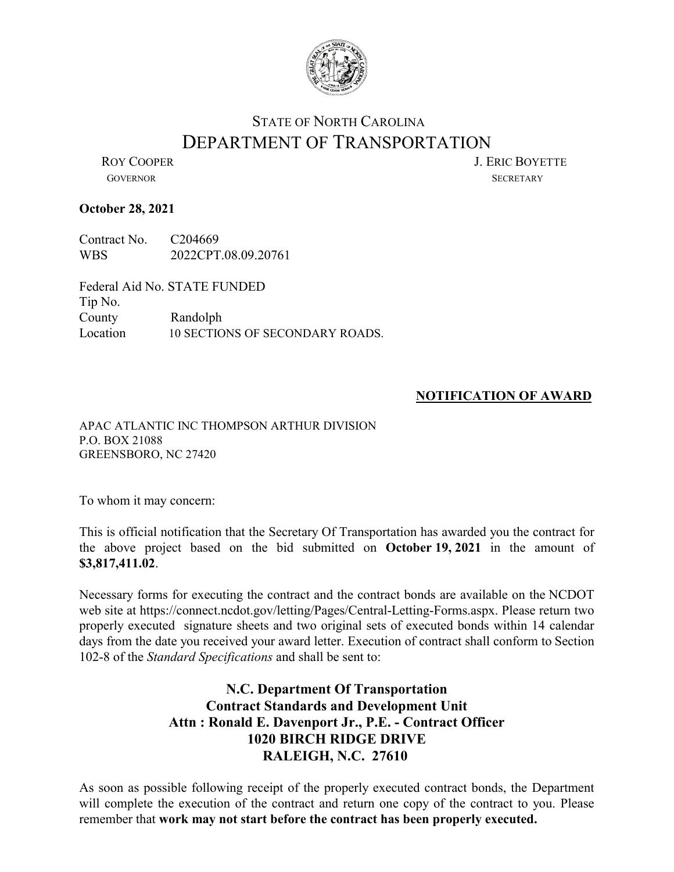

## STATE OF NORTH CAROLINA DEPARTMENT OF TRANSPORTATION<br>LERIC BOYETTE

GOVERNOR SECRETARY

## **October 28, 2021**

Contract No. C204669 WBS 2022CPT.08.09.20761

Federal Aid No. STATE FUNDED Tip No. County Randolph Location 10 SECTIONS OF SECONDARY ROADS.

## **NOTIFICATION OF AWARD**

APAC ATLANTIC INC THOMPSON ARTHUR DIVISION P.O. BOX 21088 GREENSBORO, NC 27420

To whom it may concern:

This is official notification that the Secretary Of Transportation has awarded you the contract for the above project based on the bid submitted on **October 19, 2021** in the amount of **\$3,817,411.02**.

Necessary forms for executing the contract and the contract bonds are available on the NCDOT web site at https://connect.ncdot.gov/letting/Pages/Central-Letting-Forms.aspx. Please return two properly executed signature sheets and two original sets of executed bonds within 14 calendar days from the date you received your award letter. Execution of contract shall conform to Section 102-8 of the *Standard Specifications* and shall be sent to:

## **N.C. Department Of Transportation Contract Standards and Development Unit Attn : Ronald E. Davenport Jr., P.E. - Contract Officer 1020 BIRCH RIDGE DRIVE RALEIGH, N.C. 27610**

As soon as possible following receipt of the properly executed contract bonds, the Department will complete the execution of the contract and return one copy of the contract to you. Please remember that **work may not start before the contract has been properly executed.**